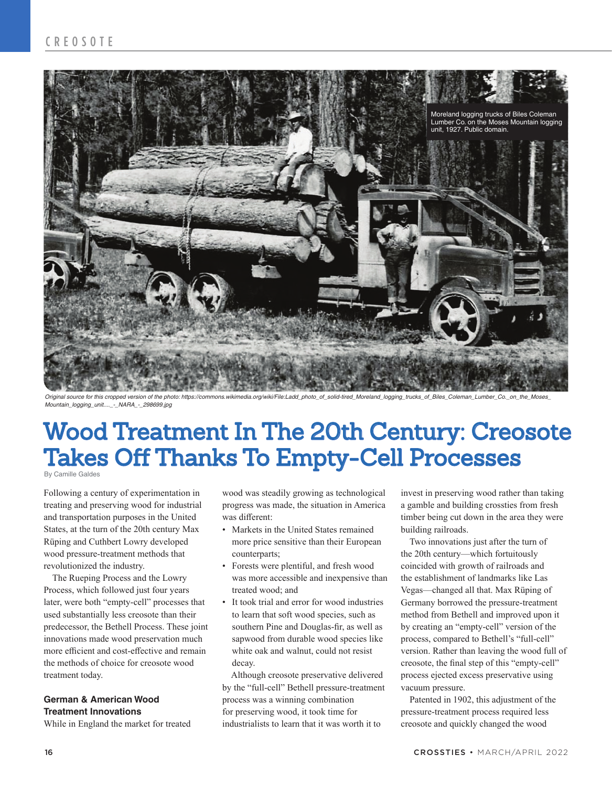

Original source for this cropped version of the photo: https://commons.wikimedia.org/wiki/File:Ladd\_photo\_of\_solid-tired\_Moreland\_logging\_trucks\_of\_Biles\_Coleman\_Lumber\_Co.\_on\_the\_Moses\_<br>Mountain\_logging\_unit…\_-\_NARA\_-\_298

## Wood Treatment In The 20th Century: Creosote Takes Off Thanks To Empty-Cell Processes

By Camille Galdes

Following a century of experimentation in treating and preserving wood for industrial and transportation purposes in the United States, at the turn of the 20th century Max Rüping and Cuthbert Lowry developed wood pressure-treatment methods that revolutionized the industry.

The Rueping Process and the Lowry Process, which followed just four years later, were both "empty-cell" processes that used substantially less creosote than their predecessor, the Bethell Process. These joint innovations made wood preservation much more efficient and cost-effective and remain the methods of choice for creosote wood treatment today.

### **German & American Wood Treatment Innovations**

While in England the market for treated

wood was steadily growing as technological progress was made, the situation in America was different:

- Markets in the United States remained more price sensitive than their European counterparts;
- Forests were plentiful, and fresh wood was more accessible and inexpensive than treated wood; and
- It took trial and error for wood industries to learn that soft wood species, such as southern Pine and Douglas-fir, as well as sapwood from durable wood species like white oak and walnut, could not resist decay.

Although creosote preservative delivered by the "full-cell" Bethell pressure-treatment process was a winning combination for preserving wood, it took time for industrialists to learn that it was worth it to

invest in preserving wood rather than taking a gamble and building crossties from fresh timber being cut down in the area they were building railroads.

Two innovations just after the turn of the 20th century—which fortuitously coincided with growth of railroads and the establishment of landmarks like Las Vegas—changed all that. Max Rüping of Germany borrowed the pressure-treatment method from Bethell and improved upon it by creating an "empty-cell" version of the process, compared to Bethell's "full-cell" version. Rather than leaving the wood full of creosote, the final step of this "empty-cell" process ejected excess preservative using vacuum pressure.

Patented in 1902, this adjustment of the pressure-treatment process required less creosote and quickly changed the wood